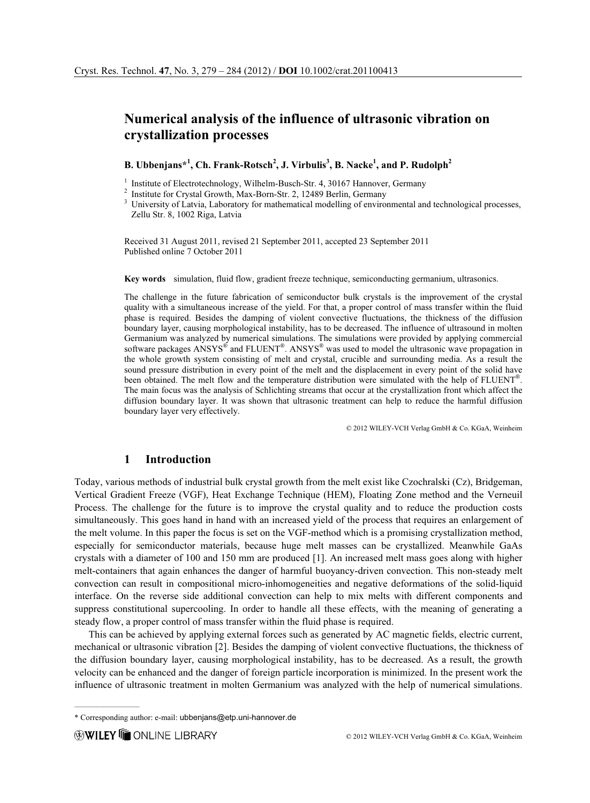# Numerical analysis of the influence of ultrasonic vibration on crystallization processes

B. Ubbenians\*<sup>1</sup>, Ch. Frank-Rotsch<sup>2</sup>, J. Virbulis<sup>3</sup>, B. Nacke<sup>1</sup>, and P. Rudolph<sup>2</sup>

<sup>1</sup> Institute of Electrotechnology, Wilhelm-Busch-Str. 4, 30167 Hannover, Germany<br><sup>2</sup> Institute for Crystal Growth, Max-Born-Str. 2, 12489 Berlin, Germany<br><sup>3</sup> University of Latvia, Laboratory for mathematical modelling of Zellu Str. 8, 1002 Riga, Latvia

Received 31 August 2011, revised 21 September 2011, accepted 23 September 2011 Published online 7 October 2011

Key words simulation, fluid flow, gradient freeze technique, semiconducting germanium, ultrasonics.

The challenge in the future fabrication of semiconductor bulk crystals is the improvement of the crystal quality with a simultaneous increase of the yield. For that, a proper control of mass transfer within the fluid phase is required. Besides the damping of violent convective fluctuations, the thickness of the diffusion boundary layer, causing morphological instability, has to be decreased. The influence of ultrasound in molten Germanium was analyzed by numerical simulations. The simulations were provided by applying commercial software packages  $ANSYS^{\circledast}$  and  $FLUENT^{\circledast}$ . ANSYS<sup>®</sup> was used to model the ultrasonic wave propagation in the whole growth system consisting of melt and crystal, crucible and surrounding media. As a result the sound pressure distribution in every point of the melt and the displacement in every point of the solid have been obtained. The melt flow and the temperature distribution were simulated with the help of FLUENT®. The main focus was the analysis of Schlichting streams that occur at the crystallization front which affect the diffusion boundary layer. It was shown that ultrasonic treatment can help to reduce the harmful diffusion boundary layer very effectively.

© 2012 WILEY-VCH Verlag GmbH & Co. KGaA, Weinheim

## 1 Introduction

Today, various methods of industrial bulk crystal growth from the melt exist like Czochralski (Cz), Bridgeman, Vertical Gradient Freeze (VGF), Heat Exchange Technique (HEM), Floating Zone method and the Verneuil Process. The challenge for the future is to improve the crystal quality and to reduce the production costs simultaneously. This goes hand in hand with an increased yield of the process that requires an enlargement of the melt volume. In this paper the focus is set on the VGF-method which is a promising crystallization method, especially for semiconductor materials, because huge melt masses can be crystallized. Meanwhile GaAs crystals with a diameter of 100 and 150 mm are produced [1]. An increased melt mass goes along with higher melt-containers that again enhances the danger of harmful buoyancy-driven convection. This non-steady melt convection can result in compositional micro-inhomogeneities and negative deformations of the solid-liquid interface. On the reverse side additional convection can help to mix melts with different components and suppress constitutional supercooling. In order to handle all these effects, with the meaning of generating a steady flow, a proper control of mass transfer within the fluid phase is required.

This can be achieved by applying external forces such as generated by AC magnetic fields, electric current, mechanical or ultrasonic vibration [2]. Besides the damping of violent convective fluctuations, the thickness of the diffusion boundary layer, causing morphological instability, has to be decreased. As a result, the growth velocity can be enhanced and the danger of foreign particle incorporation is minimized. In the present work the influence of ultrasonic treatment in molten Germanium was analyzed with the help of numerical simulations.

 $\mathcal{L}_\text{max}$ 

<sup>\*</sup> Corresponding author: e-mail: ubbenjans@etp.uni-hannover.de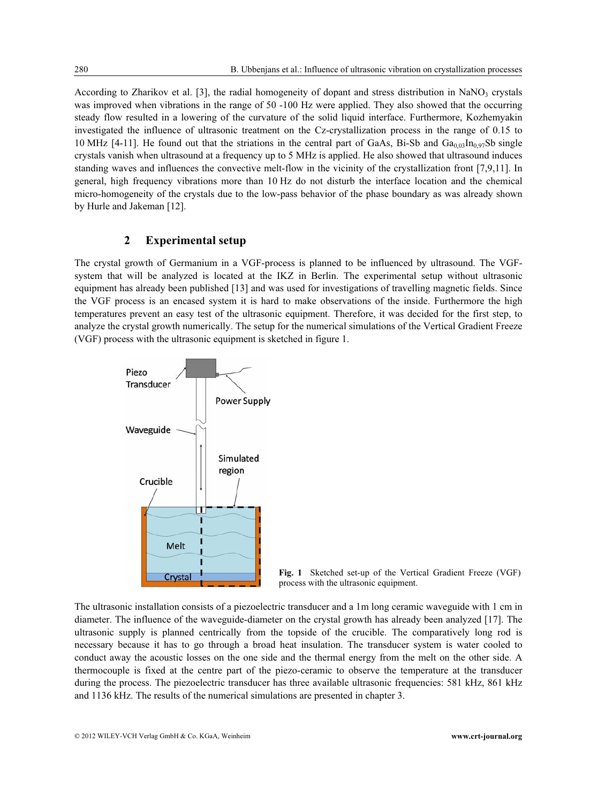According to Zharikov et al. [3], the radial homogeneity of dopant and stress distribution in  $\text{NaNO}_3$  crystals was improved when vibrations in the range of 50 -100 Hz were applied. They also showed that the occurring steady flow resulted in a lowering of the curvature of the solid liquid interface. Furthermore, Kozhemyakin investigated the influence of ultrasonic treatment on the Cz-crystallization process in the range of 0.15 to 10 MHz [4-11]. He found out that the striations in the central part of GaAs, Bi-Sb and  $Ga_{0.03}In_{0.97}Sb$  single crystals vanish when ultrasound at a frequency up to 5 MHz is applied. He also showed that ultrasound induces standing waves and influences the convective melt-flow in the vicinity of the crystallization front [7,9,11]. In general, high frequency vibrations more than 10 Hz do not disturb the interface location and the chemical micro-homogeneity of the crystals due to the low-pass behavior of the phase boundary as was already shown by Hurle and Jakeman [12].

# 2 Experimental setup

The crystal growth of Germanium in a VGF-process is planned to be influenced by ultrasound. The VGFsystem that will be analyzed is located at the IKZ in Berlin. The experimental setup without ultrasonic equipment has already been published [13] and was used for investigations of travelling magnetic fields. Since the VGF process is an encased system it is hard to make observations of the inside. Furthermore the high temperatures prevent an easy test of the ultrasonic equipment. Therefore, it was decided for the first step, to analyze the crystal growth numerically. The setup for the numerical simulations of the Vertical Gradient Freeze (VGF) process with the ultrasonic equipment is sketched in figure 1.



Fig. 1 Sketched set-up of the Vertical Gradient Freeze (VGF) process with the ultrasonic equipment.

The ultrasonic installation consists of a piezoelectric transducer and a 1m long ceramic waveguide with 1 cm in diameter. The influence of the waveguide-diameter on the crystal growth has already been analyzed [17]. The ultrasonic supply is planned centrically from the topside of the crucible. The comparatively long rod is necessary because it has to go through a broad heat insulation. The transducer system is water cooled to conduct away the acoustic losses on the one side and the thermal energy from the melt on the other side. A thermocouple is fixed at the centre part of the piezo-ceramic to observe the temperature at the transducer during the process. The piezoelectric transducer has three available ultrasonic frequencies: 581 kHz, 861 kHz and 1136 kHz. The results of the numerical simulations are presented in chapter 3.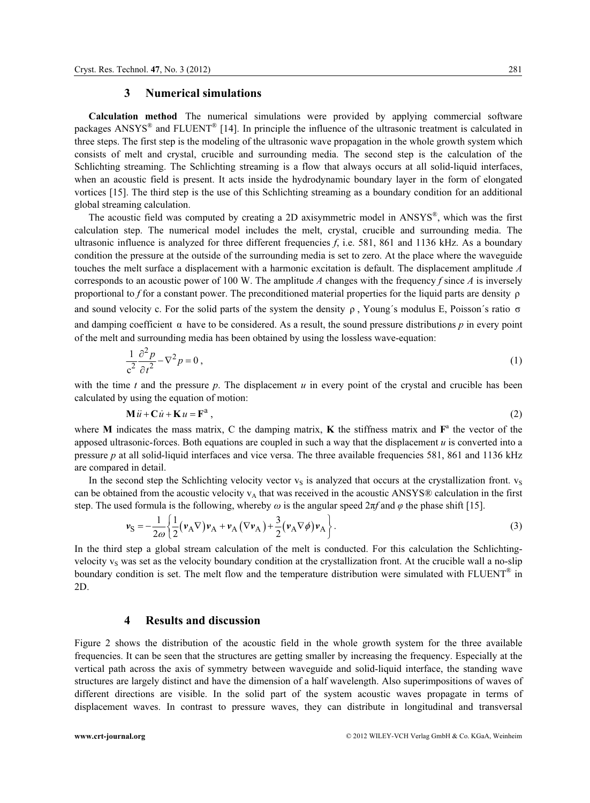#### 3 Numerical simulations

Calculation method The numerical simulations were provided by applying commercial software packages ANSYS<sup>®</sup> and FLUENT<sup>®</sup> [14]. In principle the influence of the ultrasonic treatment is calculated in three steps. The first step is the modeling of the ultrasonic wave propagation in the whole growth system which consists of melt and crystal, crucible and surrounding media. The second step is the calculation of the Schlichting streaming. The Schlichting streaming is a flow that always occurs at all solid-liquid interfaces, when an acoustic field is present. It acts inside the hydrodynamic boundary layer in the form of elongated vortices [15]. The third step is the use of this Schlichting streaming as a boundary condition for an additional global streaming calculation.

The acoustic field was computed by creating a 2D axisymmetric model in ANSYS®, which was the first calculation step. The numerical model includes the melt, crystal, crucible and surrounding media. The ultrasonic influence is analyzed for three different frequencies f, i.e. 581, 861 and 1136 kHz. As a boundary condition the pressure at the outside of the surrounding media is set to zero. At the place where the waveguide touches the melt surface a displacement with a harmonic excitation is default. The displacement amplitude A corresponds to an acoustic power of 100 W. The amplitude A changes with the frequency f since A is inversely proportional to f for a constant power. The preconditioned material properties for the liquid parts are density  $\rho$ and sound velocity c. For the solid parts of the system the density  $\rho$ , Young's modulus E, Poisson's ratio  $\sigma$ and damping coefficient  $\alpha$  have to be considered. As a result, the sound pressure distributions p in every point of the melt and surrounding media has been obtained by using the lossless wave-equation:

$$
\frac{1}{c^2} \frac{\partial^2 p}{\partial t^2} - \nabla^2 p = 0,
$$
\n(1)

with the time t and the pressure p. The displacement  $u$  in every point of the crystal and crucible has been calculated by using the equation of motion:  $\frac{1}{c^2} \frac{\partial \rho}{\partial t^2} - \nabla^2 p = 0$ ,<br>
e *t* and the pressure<br>
v using the equation of<br>
M  $\ddot{u} + C \dot{u} + K u = F^a$ -<br>t1<br>.

$$
\mathbf{M}\ddot{u} + \mathbf{C}\dot{u} + \mathbf{K}u = \mathbf{F}^{\mathbf{a}}\,,\tag{2}
$$

where  $M$  indicates the mass matrix, C the damping matrix, K the stiffness matrix and  $F<sup>a</sup>$  the vector of the apposed ultrasonic-forces. Both equations are coupled in such a way that the displacement  $u$  is converted into a pressure p at all solid-liquid interfaces and vice versa. The three available frequencies 581, 861 and 1136 kHz are compared in detail.

In the second step the Schlichting velocity vector  $v<sub>S</sub>$  is analyzed that occurs at the crystallization front.  $v<sub>S</sub>$ can be obtained from the acoustic velocity  $v_A$  that was received in the acoustic ANSYS® calculation in the first step. The used formula is the following, whereby  $\omega$  is the angular speed  $2\pi f$  and  $\varphi$  the phase shift [15].

$$
\mathbf{v}_{\rm S} = -\frac{1}{2\omega} \left\{ \frac{1}{2} (\mathbf{v}_{\rm A} \nabla) \mathbf{v}_{\rm A} + \mathbf{v}_{\rm A} (\nabla \mathbf{v}_{\rm A}) + \frac{3}{2} (\mathbf{v}_{\rm A} \nabla \phi) \mathbf{v}_{\rm A} \right\}.
$$
 (3)

In the third step a global stream calculation of the melt is conducted. For this calculation the Schlichtingvelocity  $v<sub>S</sub>$  was set as the velocity boundary condition at the crystallization front. At the crucible wall a no-slip boundary condition is set. The melt flow and the temperature distribution were simulated with  $FLUENT^{\circledast}$  in 2D.

## 4 Results and discussion

Figure 2 shows the distribution of the acoustic field in the whole growth system for the three available frequencies. It can be seen that the structures are getting smaller by increasing the frequency. Especially at the vertical path across the axis of symmetry between waveguide and solid-liquid interface, the standing wave structures are largely distinct and have the dimension of a half wavelength. Also superimpositions of waves of different directions are visible. In the solid part of the system acoustic waves propagate in terms of displacement waves. In contrast to pressure waves, they can distribute in longitudinal and transversal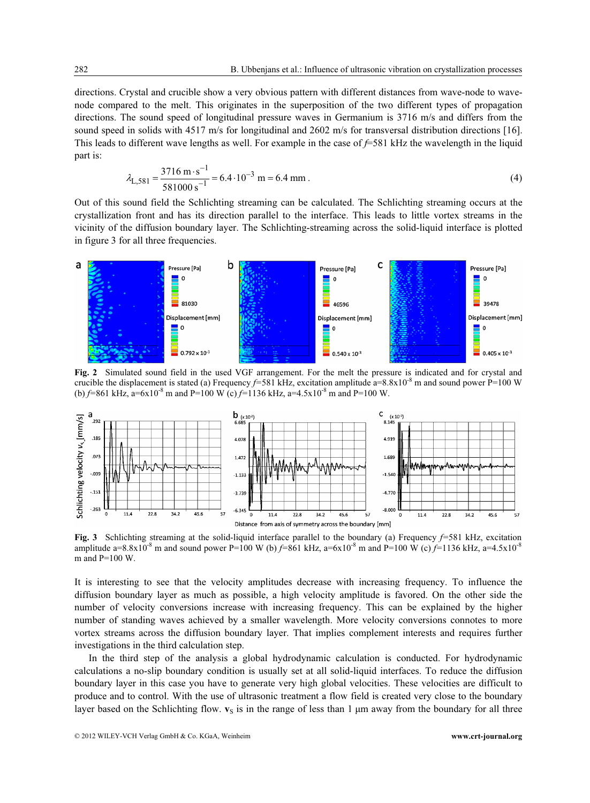directions. Crystal and crucible show a very obvious pattern with different distances from wave-node to wavenode compared to the melt. This originates in the superposition of the two different types of propagation directions. The sound speed of longitudinal pressure waves in Germanium is 3716 m/s and differs from the sound speed in solids with 4517 m/s for longitudinal and 2602 m/s for transversal distribution directions [16]. This leads to different wave lengths as well. For example in the case of  $f=581$  kHz the wavelength in the liquid part is: / m/s for loi<br>ligths as well<br>–1 າ:

$$
\lambda_{L,581} = \frac{3716 \text{ m} \cdot \text{s}^{-1}}{581000 \text{ s}^{-1}} = 6.4 \cdot 10^{-3} \text{ m} = 6.4 \text{ mm} \,. \tag{4}
$$

Out of this sound field the Schlichting streaming can be calculated. The Schlichting streaming occurs at the crystallization front and has its direction parallel to the interface. This leads to little vortex streams in the vicinity of the diffusion boundary layer. The Schlichting-streaming across the solid-liquid interface is plotted in figure 3 for all three frequencies.



Fig. 2 Simulated sound field in the used VGF arrangement. For the melt the pressure is indicated and for crystal and crucible the displacement is stated (a) Frequency  $f=581$  kHz, excitation amplitude a=8.8x10<sup>-8</sup> m and sound power P=100 W (b)  $f=861$  kHz, a=6x10<sup>-8</sup> m and P=100 W (c)  $f=1136$  kHz, a=4.5x10<sup>-8</sup> m and P=100 W.



Fig. 3 Schlichting streaming at the solid-liquid interface parallel to the boundary (a) Frequency  $f=581$  kHz, excitation amplitude a=8.8x10<sup>-8</sup> m and sound power P=100 W (b)  $f=861$  kHz, a=6x10<sup>-8</sup> m and P=100 W (c)  $f=1136$  kHz, a=4.5x10<sup>-8</sup> m and P=100 W.

It is interesting to see that the velocity amplitudes decrease with increasing frequency. To influence the diffusion boundary layer as much as possible, a high velocity amplitude is favored. On the other side the number of velocity conversions increase with increasing frequency. This can be explained by the higher number of standing waves achieved by a smaller wavelength. More velocity conversions connotes to more vortex streams across the diffusion boundary layer. That implies complement interests and requires further investigations in the third calculation step.

In the third step of the analysis a global hydrodynamic calculation is conducted. For hydrodynamic calculations a no-slip boundary condition is usually set at all solid-liquid interfaces. To reduce the diffusion boundary layer in this case you have to generate very high global velocities. These velocities are difficult to produce and to control. With the use of ultrasonic treatment a flow field is created very close to the boundary layer based on the Schlichting flow.  $v_s$  is in the range of less than 1  $\mu$ m away from the boundary for all three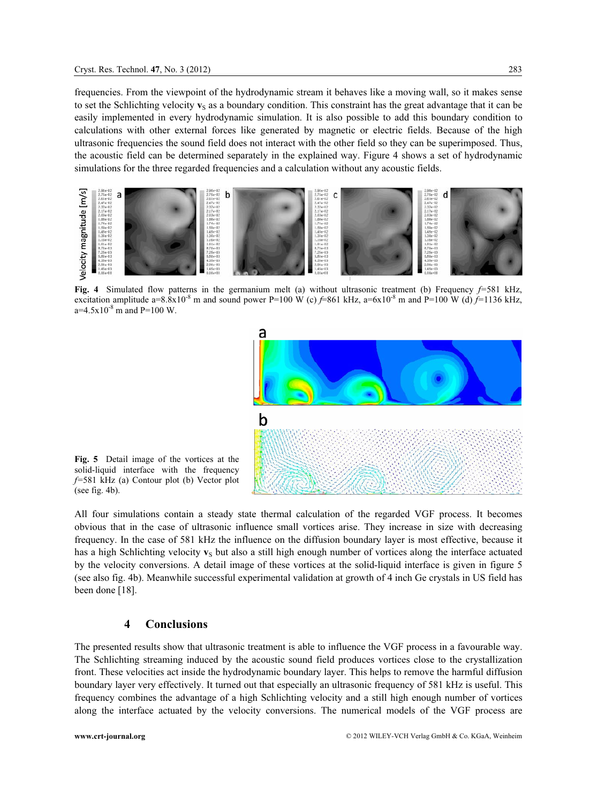frequencies. From the viewpoint of the hydrodynamic stream it behaves like a moving wall, so it makes sense to set the Schlichting velocity  $v_s$  as a boundary condition. This constraint has the great advantage that it can be easily implemented in every hydrodynamic simulation. It is also possible to add this boundary condition to calculations with other external forces like generated by magnetic or electric fields. Because of the high ultrasonic frequencies the sound field does not interact with the other field so they can be superimposed. Thus, the acoustic field can be determined separately in the explained way. Figure 4 shows a set of hydrodynamic simulations for the three regarded frequencies and a calculation without any acoustic fields.



Fig. 4 Simulated flow patterns in the germanium melt (a) without ultrasonic treatment (b) Frequency  $f=581$  kHz, excitation amplitude a=8.8x10<sup>-8</sup> m and sound power P=100 W (c)  $\neq$ 861 kHz, a=6x10<sup>-8</sup> m and P=100 W (d)  $\neq$ =1136 kHz,  $a=4.5x10^{-8}$  m and P=100 W.



Fig. 5 Detail image of the vortices at the solid-liquid interface with the frequency f=581 kHz (a) Contour plot (b) Vector plot (see fig. 4b).

All four simulations contain a steady state thermal calculation of the regarded VGF process. It becomes obvious that in the case of ultrasonic influence small vortices arise. They increase in size with decreasing frequency. In the case of 581 kHz the influence on the diffusion boundary layer is most effective, because it has a high Schlichting velocity  $v<sub>S</sub>$  but also a still high enough number of vortices along the interface actuated by the velocity conversions. A detail image of these vortices at the solid-liquid interface is given in figure 5 (see also fig. 4b). Meanwhile successful experimental validation at growth of 4 inch Ge crystals in US field has been done [18].

## 4 Conclusions

The presented results show that ultrasonic treatment is able to influence the VGF process in a favourable way. The Schlichting streaming induced by the acoustic sound field produces vortices close to the crystallization front. These velocities act inside the hydrodynamic boundary layer. This helps to remove the harmful diffusion boundary layer very effectively. It turned out that especially an ultrasonic frequency of 581 kHz is useful. This frequency combines the advantage of a high Schlichting velocity and a still high enough number of vortices along the interface actuated by the velocity conversions. The numerical models of the VGF process are